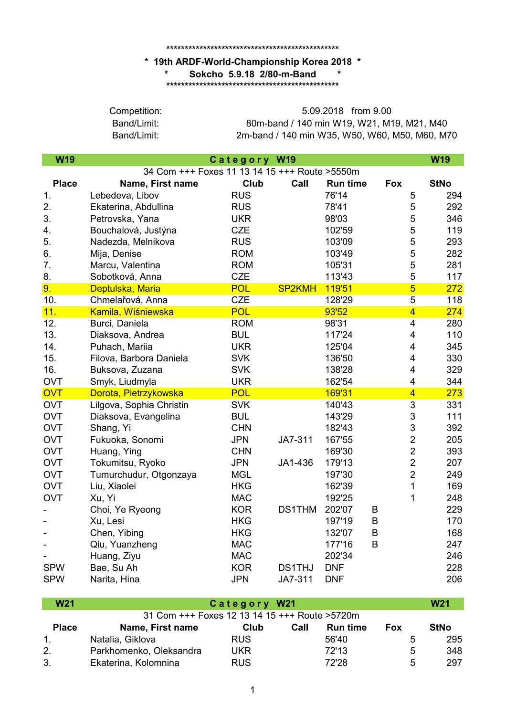## **\*\*\*\*\*\*\*\*\*\*\*\*\*\*\*\*\*\*\*\*\*\*\*\*\*\*\*\*\*\*\*\*\*\*\*\*\*\*\*\*\*\*\*\*\*\*\***

## **\* 19th ARDF-World-Championship Korea 2018 \* \*\*\*\*\*\*\*\*\*\*\*\*\*\*\*\*\*\*\*\*\*\*\*\*\*\*\*\*\*\*\*\*\*\*\*\*\*\*\*\*\*\*\*\*\*\*\* \* Sokcho 5.9.18 2/80-m-Band \***

Band/Limit:

Band/Limit: 80m-band / 140 min W19, W21, M19, M21, M40 2m-band / 140 min W35, W50, W60, M50, M60, M70 Competition: 5.09.2018 from 9.00

| <b>W19</b>     |                                               | Category W19 |               |                 |                         | W19         |
|----------------|-----------------------------------------------|--------------|---------------|-----------------|-------------------------|-------------|
|                | 34 Com +++ Foxes 11 13 14 15 +++ Route >5550m |              |               |                 |                         |             |
| <b>Place</b>   | Name, First name                              | Club         | Call          | <b>Run time</b> | Fox                     | <b>StNo</b> |
| 1.             | Lebedeva, Libov                               | <b>RUS</b>   |               | 76'14           | 5                       | 294         |
| 2.             | Ekaterina, Abdullina                          | <b>RUS</b>   |               | 78'41           | 5                       | 292         |
| 3.             | Petrovska, Yana                               | <b>UKR</b>   |               | 98'03           | 5                       | 346         |
| 4.             | Bouchalová, Justýna                           | <b>CZE</b>   |               | 102'59          | 5                       | 119         |
| 5.             | Nadezda, Melnikova                            | <b>RUS</b>   |               | 103'09          | 5                       | 293         |
| 6.             | Mija, Denise                                  | <b>ROM</b>   |               | 103'49          | 5                       | 282         |
| 7 <sub>1</sub> | Marcu, Valentina                              | <b>ROM</b>   |               | 105'31          | 5                       | 281         |
| 8.             | Sobotková, Anna                               | <b>CZE</b>   |               | 113'43          | 5                       | 117         |
| 9.             | Deptulska, Maria                              | <b>POL</b>   | <b>SP2KMH</b> | 119'51          | $\overline{5}$          | 272         |
| 10.            | Chmelařová, Anna                              | <b>CZE</b>   |               | 128'29          | 5                       | 118         |
| 11.            | Kamila, Wiśniewska                            | <b>POL</b>   |               | 93'52           | $\overline{4}$          | 274         |
| 12.            | Burci, Daniela                                | <b>ROM</b>   |               | 98'31           | $\overline{\mathbf{4}}$ | 280         |
| 13.            | Diaksova, Andrea                              | <b>BUL</b>   |               | 117'24          | $\overline{\mathbf{4}}$ | 110         |
| 14.            | Puhach, Mariia                                | <b>UKR</b>   |               | 125'04          | $\overline{\mathbf{4}}$ | 345         |
| 15.            | Filova, Barbora Daniela                       | <b>SVK</b>   |               | 136'50          | 4                       | 330         |
| 16.            | Buksova, Zuzana                               | <b>SVK</b>   |               | 138'28          | 4                       | 329         |
| <b>OVT</b>     | Smyk, Liudmyla                                | <b>UKR</b>   |               | 162'54          | $\overline{\mathbf{4}}$ | 344         |
| OVT            | Dorota, Pietrzykowska                         | <b>POL</b>   |               | 169'31          | $\overline{4}$          | 273         |
| <b>OVT</b>     | Lilgova, Sophia Christin                      | <b>SVK</b>   |               | 140'43          | 3                       | 331         |
| <b>OVT</b>     | Diaksova, Evangelina                          | <b>BUL</b>   |               | 143'29          | 3                       | 111         |
| <b>OVT</b>     | Shang, Yi                                     | <b>CHN</b>   |               | 182'43          | 3                       | 392         |
| <b>OVT</b>     | Fukuoka, Sonomi                               | <b>JPN</b>   | JA7-311       | 167'55          | $\overline{2}$          | 205         |
| <b>OVT</b>     | Huang, Ying                                   | <b>CHN</b>   |               | 169'30          | $\overline{2}$          | 393         |
| <b>OVT</b>     | Tokumitsu, Ryoko                              | <b>JPN</b>   | JA1-436       | 179'13          | $\overline{2}$          | 207         |
| <b>OVT</b>     | Tumurchudur, Otgonzaya                        | <b>MGL</b>   |               | 197'30          | $\overline{2}$          | 249         |
| <b>OVT</b>     | Liu, Xiaolei                                  | <b>HKG</b>   |               | 162'39          | $\mathbf 1$             | 169         |
| <b>OVT</b>     | Xu, Yi                                        | <b>MAC</b>   |               | 192'25          | 1                       | 248         |
|                | Choi, Ye Ryeong                               | <b>KOR</b>   | <b>DS1THM</b> | 202'07          | B                       | 229         |
|                | Xu, Lesi                                      | <b>HKG</b>   |               | 197'19          | $\sf B$                 | 170         |
|                | Chen, Yibing                                  | <b>HKG</b>   |               | 132'07          | $\sf B$                 | 168         |
|                | Qiu, Yuanzheng                                | <b>MAC</b>   |               | 177'16          | B                       | 247         |
|                | Huang, Ziyu                                   | <b>MAC</b>   |               | 202'34          |                         | 246         |
| <b>SPW</b>     | Bae, Su Ah                                    | <b>KOR</b>   | <b>DS1THJ</b> | <b>DNF</b>      |                         | 228         |
| <b>SPW</b>     | Narita, Hina                                  | <b>JPN</b>   | JA7-311       | <b>DNF</b>      |                         | 206         |

| <b>W21</b>   | Category W21                                  |            |      |                 |     |             |
|--------------|-----------------------------------------------|------------|------|-----------------|-----|-------------|
|              | 31 Com +++ Foxes 12 13 14 15 +++ Route >5720m |            |      |                 |     |             |
| <b>Place</b> | Name, First name                              | Club       | Call | <b>Run time</b> | Fox | <b>StNo</b> |
| $1_{-}$      | Natalia, Giklova                              | <b>RUS</b> |      | 56'40           | 5   | 295         |
| 2.           | Parkhomenko, Oleksandra                       | UKR        |      | 72'13           | 5   | 348         |
| 3.           | Ekaterina, Kolomnina                          | <b>RUS</b> |      | 72'28           | 5   | 297         |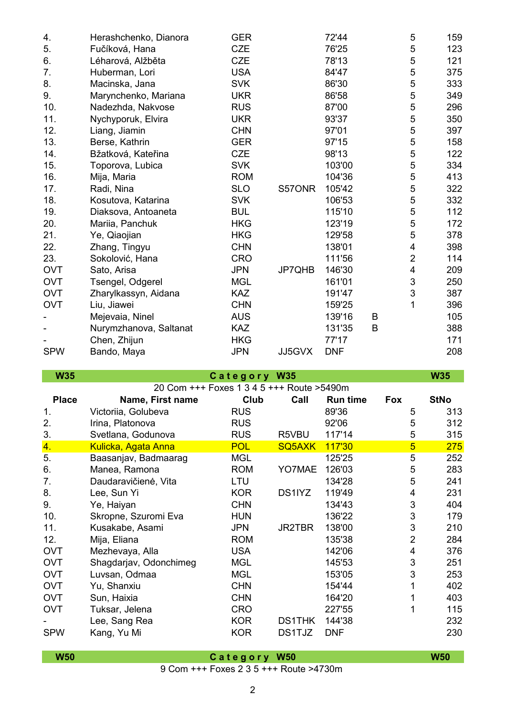| 4.         | Herashchenko, Dianora  | <b>GER</b> |        | 72'44      |   | 5                         | 159 |
|------------|------------------------|------------|--------|------------|---|---------------------------|-----|
| 5.         | Fučíková, Hana         | <b>CZE</b> |        | 76'25      |   | 5                         | 123 |
| 6.         | Léharová, Alžběta      | <b>CZE</b> |        | 78'13      |   | 5                         | 121 |
| 7.         | Huberman, Lori         | <b>USA</b> |        | 84'47      |   | 5                         | 375 |
| 8.         | Macinska, Jana         | <b>SVK</b> |        | 86'30      |   | 5                         | 333 |
| 9.         | Marynchenko, Mariana   | <b>UKR</b> |        | 86'58      |   | 5                         | 349 |
| 10.        | Nadezhda, Nakvose      | <b>RUS</b> |        | 87'00      |   | 5                         | 296 |
| 11.        | Nychyporuk, Elvira     | <b>UKR</b> |        | 93'37      |   | 5                         | 350 |
| 12.        | Liang, Jiamin          | <b>CHN</b> |        | 97'01      |   | 5                         | 397 |
| 13.        | Berse, Kathrin         | <b>GER</b> |        | 97'15      |   | 5                         | 158 |
| 14.        | Bžatková, Kateřina     | <b>CZE</b> |        | 98'13      |   | 5                         | 122 |
| 15.        | Toporova, Lubica       | <b>SVK</b> |        | 103'00     |   | 5                         | 334 |
| 16.        | Mija, Maria            | <b>ROM</b> |        | 104'36     |   | 5                         | 413 |
| 17.        | Radi, Nina             | <b>SLO</b> | S57ONR | 105'42     |   | 5                         | 322 |
| 18.        | Kosutova, Katarina     | <b>SVK</b> |        | 106'53     |   | 5                         | 332 |
| 19.        | Diaksova, Antoaneta    | <b>BUL</b> |        | 115'10     |   | 5                         | 112 |
| 20.        | Mariia, Panchuk        | <b>HKG</b> |        | 123'19     |   | 5                         | 172 |
| 21.        | Ye, Qiaojian           | <b>HKG</b> |        | 129'58     |   | 5                         | 378 |
| 22.        | Zhang, Tingyu          | <b>CHN</b> |        | 138'01     |   | 4                         | 398 |
| 23.        | Sokolović, Hana        | <b>CRO</b> |        | 111'56     |   | $\overline{2}$            | 114 |
| <b>OVT</b> | Sato, Arisa            | <b>JPN</b> | JP7QHB | 146'30     |   | 4                         | 209 |
| <b>OVT</b> | Tsengel, Odgerel       | <b>MGL</b> |        | 161'01     |   | $\ensuremath{\mathsf{3}}$ | 250 |
| <b>OVT</b> | Zharylkassyn, Aidana   | <b>KAZ</b> |        | 191'47     |   | 3                         | 387 |
| <b>OVT</b> | Liu, Jiawei            | <b>CHN</b> |        | 159'25     |   | 1                         | 396 |
|            | Mejevaia, Ninel        | <b>AUS</b> |        | 139'16     | B |                           | 105 |
|            | Nurymzhanova, Saltanat | <b>KAZ</b> |        | 131'35     | B |                           | 388 |
|            | Chen, Zhijun           | <b>HKG</b> |        | 77'17      |   |                           | 171 |
| <b>SPW</b> | Bando, Maya            | <b>JPN</b> | JJ5GVX | <b>DNF</b> |   |                           | 208 |

**W35 W35 C a t e g o r y W35 Place Name, First name Club Call Run time Fox StNo** 1. Victoriia, Golubeva RUS 89'36 5 313 2. Irina, Platonova RUS 92'06 5 312 3. Svetlana, Godunova RUS R5VBU 117'14 5 315 4. Kulicka, Agata Anna POL SQ5AXK 117'30 5 275 5. Baasanjav, Badmaarag MGL 125'25 5 252 6. Manea, Ramona ROM YO7MAE 126'03 5 283 7. Daudaravičienė, Vita LTU 134'28 5 241 8. Lee, Sun Yi KOR DS1IYZ 119'49 4 231 9. Ye, Haiyan CHN 134'43 3 404 10. Skropne, Szuromi Eva HUN 136'22 3 179 11. Kusakabe, Asami JPN JR2TBR 138'00 3 210 12. Mija, Eliana ROM 135'38 2 284 OVT Mezhevaya, Alla USA 142'06 4 376 OVT Shaqdarjav, Odonchimeg MGL 145'53 3 251 OVT Luvsan, Odmaa MGL 153'05 3253 OVT Yu, Shanxiu CHN CHN 154'44 1 402 OVT Sun, Haixia CHN 164'20 1 403 OVT Tuksar, Jelena CRO 227'55 1 115 Lee, Sang Rea **KOR** DS1THK 144'38 232 SPW Kang, Yu Mi KOR DS1TJZ DNF 230 20 Com +++ Foxes 1 3 4 5 +++ Route >5490m

**W50 W50 C a t e g o r y W50**

9 Com +++ Foxes 2 3 5 +++ Route >4730m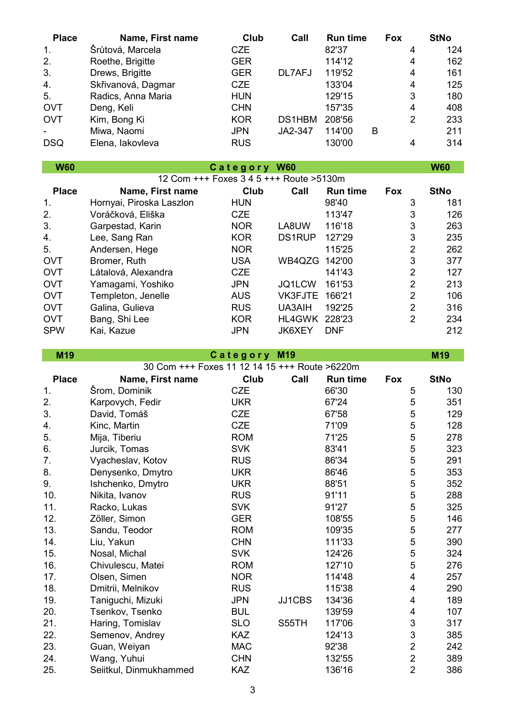| <b>Place</b> | Name, First name                              | Club                     | Call          | <b>Run time</b>  | <b>Fox</b> |                         | <b>StNo</b> |
|--------------|-----------------------------------------------|--------------------------|---------------|------------------|------------|-------------------------|-------------|
| 1.           | Šrůtová, Marcela                              | <b>CZE</b>               |               | 82'37            |            | 4                       | 124         |
| 2.           | Roethe, Brigitte                              | <b>GER</b>               |               | 114'12           |            | 4                       | 162         |
| 3.           | Drews, Brigitte                               | <b>GER</b>               | DL7AFJ        | 119'52           |            | 4                       | 161         |
| 4.           | Skřivanová, Dagmar                            | <b>CZE</b>               |               | 133'04           |            | 4                       | 125         |
| 5.           | Radics, Anna Maria                            | <b>HUN</b>               |               | 129'15           |            | 3                       | 180         |
| <b>OVT</b>   | Deng, Keli                                    | <b>CHN</b>               |               | 157'35           |            | $\overline{\mathbf{4}}$ | 408         |
| <b>OVT</b>   | Kim, Bong Ki                                  | <b>KOR</b>               | DS1HBM        | 208'56           |            | $\overline{2}$          | 233         |
|              | Miwa, Naomi                                   | <b>JPN</b>               | JA2-347       | 114'00           | B          |                         | 211         |
| <b>DSQ</b>   | Elena, lakovleva                              | <b>RUS</b>               |               | 130'00           |            | 4                       | 314         |
| <b>W60</b>   |                                               | Category W60             |               |                  |            |                         | <b>W60</b>  |
|              | 12 Com +++ Foxes 3 4 5 +++ Route > 5130m      |                          |               |                  |            |                         |             |
| <b>Place</b> | Name, First name                              | <b>Club</b>              | Call          | <b>Run time</b>  | <b>Fox</b> |                         | <b>StNo</b> |
| 1.           | Hornyai, Piroska Laszlon                      | <b>HUN</b>               |               | 98'40            |            | 3                       | 181         |
| 2.           | Voráčková, Eliška                             | <b>CZE</b>               |               | 113'47           |            | 3                       | 126         |
| 3.           | Garpestad, Karin                              | <b>NOR</b>               | LA8UW         | 116'18           |            | 3                       | 263         |
| 4.           | Lee, Sang Ran                                 | <b>KOR</b>               | <b>DS1RUP</b> | 127'29           |            | 3                       | 235         |
| 5.           | Andersen, Hege                                | <b>NOR</b>               |               | 115'25           |            | $\overline{2}$          | 262         |
| <b>OVT</b>   | Bromer, Ruth                                  | <b>USA</b>               | WB4QZG        | 142'00           |            | 3                       | 377         |
| <b>OVT</b>   | Látalová, Alexandra                           | <b>CZE</b>               |               | 141'43           |            | $\overline{2}$          | 127         |
| <b>OVT</b>   | Yamagami, Yoshiko                             | <b>JPN</b>               | JQ1LCW        | 161'53           |            | $\overline{2}$          | 213         |
| <b>OVT</b>   | Templeton, Jenelle                            | <b>AUS</b>               | VK3FJTE       | 166'21           |            | $\overline{2}$          | 106         |
| <b>OVT</b>   | Galina, Gulieva                               | <b>RUS</b>               | UA3AIH        | 192'25           |            | $\overline{2}$          | 316         |
| <b>OVT</b>   | Bang, Shi Lee                                 | <b>KOR</b>               | HL4GWK        | 228'23           |            | $\overline{2}$          | 234         |
| <b>SPW</b>   | Kai, Kazue                                    | <b>JPN</b>               | JK6XEY        | <b>DNF</b>       |            |                         | 212         |
|              |                                               |                          |               |                  |            |                         | M19         |
|              |                                               |                          | M19           |                  |            |                         |             |
| M19          | 30 Com +++ Foxes 11 12 14 15 +++ Route >6220m | Category                 |               |                  |            |                         |             |
| <b>Place</b> | Name, First name                              | Club                     | Call          | <b>Run time</b>  | <b>Fox</b> |                         | <b>StNo</b> |
| 1.           | Šrom, Dominik                                 | <b>CZE</b>               |               | 66'30            |            | 5                       | 130         |
| 2.           | Karpovych, Fedir                              | <b>UKR</b>               |               | 67'24            |            | 5                       | 351         |
| 3.           | David, Tomáš                                  | <b>CZE</b>               |               | 67'58            |            | 5                       | 129         |
| 4.           | Kinc, Martin                                  | <b>CZE</b>               |               | 71'09            |            | $\mathbf 5$             | 128         |
| 5.           | Mija, Tiberiu                                 | <b>ROM</b>               |               | 71'25            |            | 5                       | 278         |
| 6.           | Jurcik, Tomas                                 | <b>SVK</b>               |               | 83'41            |            | 5                       | 323         |
| 7.           | Vyacheslav, Kotov                             | <b>RUS</b>               |               | 86'34            |            | 5                       | 291         |
| 8.           | Denysenko, Dmytro                             | <b>UKR</b>               |               | 86'46            |            | 5                       | 353         |
| 9.           | Ishchenko, Dmytro                             | <b>UKR</b>               |               | 88'51            |            | 5                       | 352         |
| 10.          | Nikita, Ivanov                                | <b>RUS</b>               |               | 91'11            |            | 5                       | 288         |
| 11.          | Racko, Lukas                                  | <b>SVK</b>               |               | 91'27            |            | 5                       | 325         |
| 12.          | Zöller, Simon                                 | <b>GER</b>               |               | 108'55           |            | 5                       | 146         |
| 13.          | Sandu, Teodor                                 | <b>ROM</b>               |               | 109'35           |            | $\,$ 5 $\,$             | 277         |
| 14.          | Liu, Yakun                                    | <b>CHN</b>               |               | 111'33           |            | $\sqrt{5}$              | 390         |
| 15.          | Nosal, Michal                                 | <b>SVK</b>               |               | 124'26           |            | $\mathbf 5$             | 324         |
| 16.          | Chivulescu, Matei                             | <b>ROM</b>               |               | 127'10           |            | 5                       | 276         |
| 17.          | Olsen, Simen                                  | <b>NOR</b>               |               | 114'48           |            | 4                       | 257         |
| 18.          | Dmitrii, Melnikov                             | <b>RUS</b>               |               | 115'38           |            | 4                       | 290         |
| 19.          | Taniguchi, Mizuki                             | <b>JPN</b>               | JJ1CBS        | 134'36           |            | 4                       | 189         |
| 20.<br>21.   | Tsenkov, Tsenko<br>Haring, Tomislav           | <b>BUL</b><br><b>SLO</b> | S55TH         | 139'59<br>117'06 |            | 4<br>3                  | 107<br>317  |

22. Semenov, Andrey KAZ 124'13 3 385<br>23. Guan. Weivan MAC 92'38 2 242 23. Guan, Weiyan MAC 92'38 2 242 Wang, Yuhui 25. Seiitkul, Dinmukhammed KAZ 136'16 2 386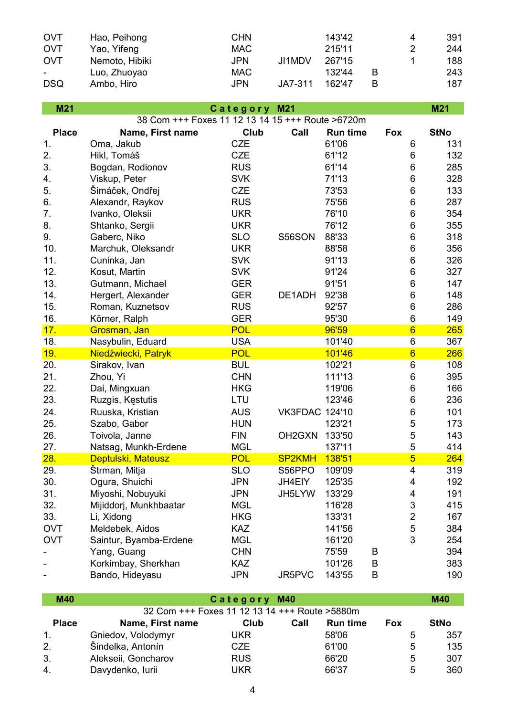| <b>OVT</b> | Hao, Peihong   | <b>CHN</b> |         | 143'42 |   | 4             | 391 |
|------------|----------------|------------|---------|--------|---|---------------|-----|
| <b>OVT</b> | Yao, Yifeng    | MAC.       |         | 215'11 |   | $\mathcal{P}$ | 244 |
| <b>OVT</b> | Nemoto, Hibiki | <b>JPN</b> | JI1MDV  | 267'15 |   |               | 188 |
| $\sim$     | Luo, Zhuoyao   | MAC.       |         | 132'44 | в |               | 243 |
| <b>DSQ</b> | Ambo, Hiro     | <b>JPN</b> | JA7-311 | 162'47 |   |               | 187 |

| M21          |                                                  | Category M21 |                       |                 |                         | M21         |
|--------------|--------------------------------------------------|--------------|-----------------------|-----------------|-------------------------|-------------|
|              | 38 Com +++ Foxes 11 12 13 14 15 +++ Route >6720m |              |                       |                 |                         |             |
| <b>Place</b> | Name, First name                                 | <b>Club</b>  | Call                  | <b>Run time</b> | <b>Fox</b>              | <b>StNo</b> |
| 1.           | Oma, Jakub                                       | <b>CZE</b>   |                       | 61'06           | 6                       | 131         |
| 2.           | Hikl, Tomáš                                      | <b>CZE</b>   |                       | 61'12           | 6                       | 132         |
| 3.           | Bogdan, Rodionov                                 | <b>RUS</b>   |                       | 61'14           | 6                       | 285         |
| 4.           | Viskup, Peter                                    | <b>SVK</b>   |                       | 71'13           | 6                       | 328         |
| 5.           | Šimáček, Ondřej                                  | <b>CZE</b>   |                       | 73'53           | 6                       | 133         |
| 6.           | Alexandr, Raykov                                 | <b>RUS</b>   |                       | 75'56           | 6                       | 287         |
| 7.           | Ivanko, Oleksii                                  | <b>UKR</b>   |                       | 76'10           | 6                       | 354         |
| 8.           | Shtanko, Sergii                                  | <b>UKR</b>   |                       | 76'12           | 6                       | 355         |
| 9.           | Gaberc, Niko                                     | <b>SLO</b>   | S56SON                | 88'33           | 6                       | 318         |
| 10.          | Marchuk, Oleksandr                               | <b>UKR</b>   |                       | 88'58           | 6                       | 356         |
| 11.          | Cuninka, Jan                                     | <b>SVK</b>   |                       | 91'13           | 6                       | 326         |
| 12.          | Kosut, Martin                                    | <b>SVK</b>   |                       | 91'24           | 6                       | 327         |
| 13.          | Gutmann, Michael                                 | <b>GER</b>   |                       | 91'51           | 6                       | 147         |
| 14.          | Hergert, Alexander                               | <b>GER</b>   | DE1ADH                | 92'38           | 6                       | 148         |
| 15.          | Roman, Kuznetsov                                 | <b>RUS</b>   |                       | 92'57           | 6                       | 286         |
| 16.          | Körner, Ralph                                    | <b>GER</b>   |                       | 95'30           | 6                       | 149         |
| 17.          | Grosman, Jan                                     | <b>POL</b>   |                       | 96'59           | $6\phantom{1}$          | 265         |
| 18.          | Nasybulin, Eduard                                | <b>USA</b>   |                       | 101'40          | 6                       | 367         |
| 19.          | Niedźwiecki, Patryk                              | <b>POL</b>   |                       | 101'46          | $6\phantom{1}6$         | 266         |
| 20.          | Sirakov, Ivan                                    | <b>BUL</b>   |                       | 102'21          | 6                       | 108         |
| 21.          | Zhou, Yi                                         | <b>CHN</b>   |                       | 111'13          | 6                       | 395         |
| 22.          | Dai, Mingxuan                                    | <b>HKG</b>   |                       | 119'06          | 6                       | 166         |
| 23.          | Ruzgis, Kęstutis                                 | LTU          |                       | 123'46          | 6                       | 236         |
| 24.          | Ruuska, Kristian                                 | <b>AUS</b>   | <b>VK3FDAC 124'10</b> |                 | 6                       | 101         |
| 25.          | Szabo, Gabor                                     | <b>HUN</b>   |                       | 123'21          | 5                       | 173         |
| 26.          | Toivola, Janne                                   | <b>FIN</b>   | OH <sub>2</sub> GXN   | 133'50          | 5                       | 143         |
| 27.          | Natsag, Munkh-Erdene                             | <b>MGL</b>   |                       | 137'11          | 5                       | 414         |
| 28.          | Deptulski, Mateusz                               | <b>POL</b>   | <b>SP2KMH</b>         | 138'51          | $\overline{5}$          | 264         |
| 29.          | Štrman, Mitja                                    | <b>SLO</b>   | S56PPO                | 109'09          | 4                       | 319         |
| 30.          | Ogura, Shuichi                                   | <b>JPN</b>   | JH4EIY                | 125'35          | 4                       | 192         |
| 31.          | Miyoshi, Nobuyuki                                | <b>JPN</b>   | JH5LYW                | 133'29          | 4                       | 191         |
| 32.          | Mijiddorj, Munkhbaatar                           | <b>MGL</b>   |                       | 116'28          | 3                       | 415         |
| 33.          | Li, Xidong                                       | <b>HKG</b>   |                       | 133'31          | $\overline{\mathbf{c}}$ | 167         |
| <b>OVT</b>   | Meldebek, Aidos                                  | <b>KAZ</b>   |                       | 141'56          | 5                       | 384         |
| <b>OVT</b>   | Saintur, Byamba-Erdene                           | <b>MGL</b>   |                       | 161'20          | 3                       | 254         |
|              | Yang, Guang                                      | <b>CHN</b>   |                       | 75'59           | B                       | 394         |
|              | Korkimbay, Sherkhan                              | <b>KAZ</b>   |                       | 101'26          | B                       | 383         |
|              | Bando, Hideyasu                                  | <b>JPN</b>   | JR5PVC                | 143'55          | B                       | 190         |

| <b>M40</b>   | Category M40                                   |            |      |                 |            |             |  |  |
|--------------|------------------------------------------------|------------|------|-----------------|------------|-------------|--|--|
|              | 32 Com +++ Foxes 11 12 13 14 +++ Route > 5880m |            |      |                 |            |             |  |  |
| <b>Place</b> | Name, First name                               | Club       | Call | <b>Run time</b> | <b>Fox</b> | <b>StNo</b> |  |  |
| $1_{-}$      | Gniedov, Volodymyr                             | UKR        |      | 58'06           | 5          | 357         |  |  |
| 2.           | Šindelka, Antonín                              | CZE.       |      | 61'00           | 5          | 135         |  |  |
| 3.           | Alekseii, Goncharov                            | <b>RUS</b> |      | 66'20           | 5          | 307         |  |  |
| 4.           | Davydenko, lurii                               | UKR        |      | 66'37           | 5          | 360         |  |  |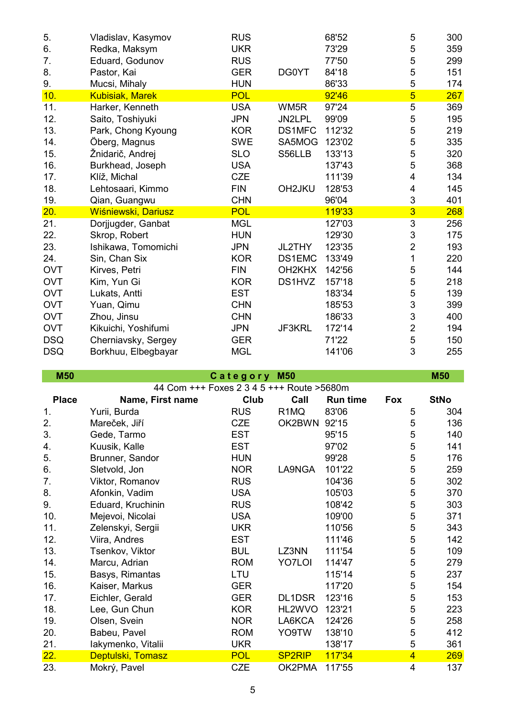| 5.         | Vladislav, Kasymov     | <b>RUS</b> |                                 | 68'52  | 5               | 300 |
|------------|------------------------|------------|---------------------------------|--------|-----------------|-----|
| 6.         | Redka, Maksym          | <b>UKR</b> |                                 | 73'29  | 5               | 359 |
| 7.         | Eduard, Godunov        | <b>RUS</b> |                                 | 77'50  | 5               | 299 |
| 8.         | Pastor, Kai            | <b>GER</b> | DG0YT                           | 84'18  | 5               | 151 |
| 9.         | Mucsi, Mihaly          | <b>HUN</b> |                                 | 86'33  | 5               | 174 |
| 10.        | <b>Kubisiak, Marek</b> | <b>POL</b> |                                 | 92'46  | $5\overline{)}$ | 267 |
| 11.        | Harker, Kenneth        | <b>USA</b> | WM <sub>5R</sub>                | 97'24  | 5               | 369 |
| 12.        | Saito, Toshiyuki       | <b>JPN</b> | JN2LPL                          | 99'09  | 5               | 195 |
| 13.        | Park, Chong Kyoung     | <b>KOR</b> | DS1MFC                          | 112'32 | 5               | 219 |
| 14.        | Öberg, Magnus          | <b>SWE</b> | SA5MOG                          | 123'02 | 5               | 335 |
| 15.        | Žnidarič, Andrej       | <b>SLO</b> | S56LLB                          | 133'13 | 5               | 320 |
| 16.        | Burkhead, Joseph       | <b>USA</b> |                                 | 137'43 | 5               | 368 |
| 17.        | Klíž, Michal           | <b>CZE</b> |                                 | 111'39 | 4               | 134 |
| 18.        | Lehtosaari, Kimmo      | <b>FIN</b> | OH2JKU                          | 128'53 | 4               | 145 |
| 19.        | Qian, Guangwu          | <b>CHN</b> |                                 | 96'04  | 3               | 401 |
| 20.        | Wiśniewski, Dariusz    | <b>POL</b> |                                 | 119'33 | $\overline{3}$  | 268 |
| 21.        | Dorjjugder, Ganbat     | <b>MGL</b> |                                 | 127'03 | 3               | 256 |
| 22.        | Skrop, Robert          | <b>HUN</b> |                                 | 129'30 | 3               | 175 |
| 23.        | Ishikawa, Tomomichi    | <b>JPN</b> | JL2THY                          | 123'35 | $\overline{2}$  | 193 |
| 24.        | Sin, Chan Six          | <b>KOR</b> | DS1EMC                          | 133'49 | 1               | 220 |
| <b>OVT</b> | Kirves, Petri          | <b>FIN</b> | OH <sub>2</sub> KH <sub>X</sub> | 142'56 | 5               | 144 |
| <b>OVT</b> | Kim, Yun Gi            | <b>KOR</b> | DS1HVZ                          | 157'18 | 5               | 218 |
| <b>OVT</b> | Lukats, Antti          | <b>EST</b> |                                 | 183'34 | 5               | 139 |
| <b>OVT</b> | Yuan, Qimu             | <b>CHN</b> |                                 | 185'53 | $\mathfrak{S}$  | 399 |
| <b>OVT</b> | Zhou, Jinsu            | <b>CHN</b> |                                 | 186'33 | 3               | 400 |
| <b>OVT</b> | Kikuichi, Yoshifumi    | <b>JPN</b> | JF3KRL                          | 172'14 | $\overline{2}$  | 194 |
| <b>DSQ</b> | Cherniavsky, Sergey    | <b>GER</b> |                                 | 71'22  | 5               | 150 |
| <b>DSQ</b> | Borkhuu, Elbegbayar    | <b>MGL</b> |                                 | 141'06 | 3               | 255 |
|            |                        |            |                                 |        |                 |     |

**M50 M50 C a t e g o r y M50**

|              | 44 Com +++ Foxes 2 3 4 5 +++ Route > 5680m |            |                   |                 |                         |             |
|--------------|--------------------------------------------|------------|-------------------|-----------------|-------------------------|-------------|
| <b>Place</b> | Name, First name                           | Club       | Call              | <b>Run time</b> | Fox                     | <b>StNo</b> |
| 1.           | Yurii, Burda                               | <b>RUS</b> | R <sub>1</sub> MQ | 83'06           | 5                       | 304         |
| 2.           | Mareček, Jiří                              | <b>CZE</b> | OK2BWN            | 92'15           | 5                       | 136         |
| 3.           | Gede, Tarmo                                | <b>EST</b> |                   | 95'15           | 5                       | 140         |
| 4.           | Kuusik, Kalle                              | <b>EST</b> |                   | 97'02           | 5                       | 141         |
| 5.           | Brunner, Sandor                            | <b>HUN</b> |                   | 99'28           | 5                       | 176         |
| 6.           | Sletvold, Jon                              | <b>NOR</b> | LA9NGA            | 101'22          | 5                       | 259         |
| 7.           | Viktor, Romanov                            | <b>RUS</b> |                   | 104'36          | 5                       | 302         |
| 8.           | Afonkin, Vadim                             | <b>USA</b> |                   | 105'03          | 5                       | 370         |
| 9.           | Eduard, Kruchinin                          | <b>RUS</b> |                   | 108'42          | 5                       | 303         |
| 10.          | Mejevoi, Nicolai                           | <b>USA</b> |                   | 109'00          | 5                       | 371         |
| 11.          | Zelenskyi, Sergii                          | <b>UKR</b> |                   | 110'56          | 5                       | 343         |
| 12.          | Viira, Andres                              | <b>EST</b> |                   | 111'46          | 5                       | 142         |
| 13.          | Tsenkov, Viktor                            | <b>BUL</b> | LZ3NN             | 111'54          | 5                       | 109         |
| 14.          | Marcu, Adrian                              | <b>ROM</b> | <b>YO7LOI</b>     | 114'47          | 5                       | 279         |
| 15.          | Basys, Rimantas                            | LTU        |                   | 115'14          | 5                       | 237         |
| 16.          | Kaiser, Markus                             | <b>GER</b> |                   | 117'20          | 5                       | 154         |
| 17.          | Eichler, Gerald                            | <b>GER</b> | DL1DSR            | 123'16          | 5                       | 153         |
| 18.          | Lee, Gun Chun                              | <b>KOR</b> | HL2WVO            | 123'21          | 5                       | 223         |
| 19.          | Olsen, Svein                               | <b>NOR</b> | LA6KCA            | 124'26          | 5                       | 258         |
| 20.          | Babeu, Pavel                               | <b>ROM</b> | YO9TW             | 138'10          | 5                       | 412         |
| 21.          | lakymenko, Vitalii                         | <b>UKR</b> |                   | 138'17          | 5                       | 361         |
| 22.          | Deptulski, Tomasz                          | <b>POL</b> | <b>SP2RIP</b>     | 117'34          | $\overline{4}$          | 269         |
| 23.          | Mokrý, Pavel                               | <b>CZE</b> | OK2PMA            | 117'55          | $\overline{\mathbf{4}}$ | 137         |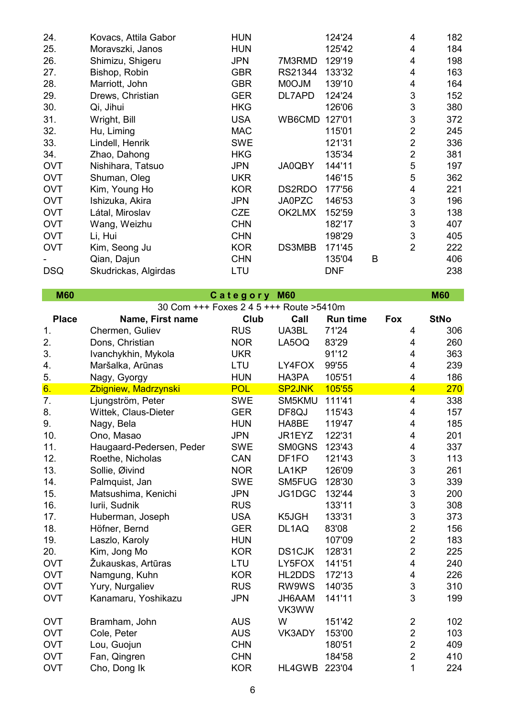| 24.        | Kovacs, Attila Gabor | <b>HUN</b> |               | 124'24     |   | 4              | 182 |
|------------|----------------------|------------|---------------|------------|---|----------------|-----|
| 25.        | Moravszki, Janos     | <b>HUN</b> |               | 125'42     |   | 4              | 184 |
| 26.        | Shimizu, Shigeru     | <b>JPN</b> | 7M3RMD        | 129'19     |   | 4              | 198 |
| 27.        | Bishop, Robin        | <b>GBR</b> | RS21344       | 133'32     |   | 4              | 163 |
| 28.        | Marriott, John       | <b>GBR</b> | <b>MOOJM</b>  | 139'10     |   | 4              | 164 |
| 29.        | Drews, Christian     | <b>GER</b> | DL7APD        | 124'24     |   | 3              | 152 |
| 30.        | Qi, Jihui            | <b>HKG</b> |               | 126'06     |   | 3              | 380 |
| 31.        | Wright, Bill         | <b>USA</b> | WB6CMD        | 127'01     |   | 3              | 372 |
| 32.        | Hu, Liming           | <b>MAC</b> |               | 115'01     |   | $\overline{2}$ | 245 |
| 33.        | Lindell, Henrik      | <b>SWE</b> |               | 121'31     |   | 2              | 336 |
| 34.        | Zhao, Dahong         | <b>HKG</b> |               | 135'34     |   | 2              | 381 |
| <b>OVT</b> | Nishihara, Tatsuo    | <b>JPN</b> | JA0QBY        | 144'11     |   | 5              | 197 |
| <b>OVT</b> | Shuman, Oleg         | <b>UKR</b> |               | 146'15     |   | 5              | 362 |
| <b>OVT</b> | Kim, Young Ho        | <b>KOR</b> | DS2RDO        | 177'56     |   | 4              | 221 |
| <b>OVT</b> | Ishizuka, Akira      | <b>JPN</b> | <b>JA0PZC</b> | 146'53     |   | 3              | 196 |
| <b>OVT</b> | Látal, Miroslav      | <b>CZE</b> | OK2LMX        | 152'59     |   | 3              | 138 |
| <b>OVT</b> | Wang, Weizhu         | <b>CHN</b> |               | 182'17     |   | 3              | 407 |
| <b>OVT</b> | Li, Hui              | <b>CHN</b> |               | 198'29     |   | 3              | 405 |
| <b>OVT</b> | Kim, Seong Ju        | <b>KOR</b> | DS3MBB        | 171'45     |   | $\overline{2}$ | 222 |
|            | Qian, Dajun          | <b>CHN</b> |               | 135'04     | B |                | 406 |
| <b>DSQ</b> | Skudrickas, Algirdas | LTU        |               | <b>DNF</b> |   |                | 238 |
|            |                      |            |               |            |   |                |     |

| <b>M60</b>   |                                         | Category M60 |               |                 |                         | <b>M60</b>  |
|--------------|-----------------------------------------|--------------|---------------|-----------------|-------------------------|-------------|
|              | 30 Com +++ Foxes 2 4 5 +++ Route >5410m |              |               |                 |                         |             |
| <b>Place</b> | Name, First name                        | Club         | Call          | <b>Run time</b> | <b>Fox</b>              | <b>StNo</b> |
| 1.           | Chermen, Guliev                         | <b>RUS</b>   | UA3BL         | 71'24           | 4                       | 306         |
| 2.           | Dons, Christian                         | <b>NOR</b>   | LA5OQ         | 83'29           | 4                       | 260         |
| 3.           | Ivanchykhin, Mykola                     | <b>UKR</b>   |               | 91'12           | 4                       | 363         |
| 4.           | Maršalka, Arūnas                        | LTU          | LY4FOX        | 99'55           | 4                       | 239         |
| 5.           | Nagy, Gyorgy                            | <b>HUN</b>   | HA3PA         | 105'51          | $\overline{\mathbf{4}}$ | 186         |
| 6.           | Zbigniew, Madrzynski                    | <b>POL</b>   | <b>SP2JNK</b> | 105'55          | $\overline{4}$          | 270         |
| 7.           | Ljungström, Peter                       | <b>SWE</b>   | SM5KMU        | 111'41          | 4                       | 338         |
| 8.           | Wittek, Claus-Dieter                    | <b>GER</b>   | DF8QJ         | 115'43          | 4                       | 157         |
| 9.           | Nagy, Bela                              | <b>HUN</b>   | HA8BE         | 119'47          | 4                       | 185         |
| 10.          | Ono, Masao                              | <b>JPN</b>   | JR1EYZ        | 122'31          | 4                       | 201         |
| 11.          | Haugaard-Pedersen, Peder                | <b>SWE</b>   | <b>SM0GNS</b> | 123'43          | 4                       | 337         |
| 12.          | Roethe, Nicholas                        | CAN          | DF1FO         | 121'43          | 3                       | 113         |
| 13.          | Sollie, Øivind                          | <b>NOR</b>   | LA1KP         | 126'09          | 3                       | 261         |
| 14.          | Palmquist, Jan                          | <b>SWE</b>   | SM5FUG        | 128'30          | 3                       | 339         |
| 15.          | Matsushima, Kenichi                     | <b>JPN</b>   | JG1DGC        | 132'44          | 3                       | 200         |
| 16.          | Iurii, Sudnik                           | <b>RUS</b>   |               | 133'11          | 3                       | 308         |
| 17.          | Huberman, Joseph                        | <b>USA</b>   | K5JGH         | 133'31          | 3                       | 373         |
| 18.          | Höfner, Bernd                           | <b>GER</b>   | DL1AQ         | 83'08           | $\overline{c}$          | 156         |
| 19.          | Laszlo, Karoly                          | <b>HUN</b>   |               | 107'09          | $\overline{2}$          | 183         |
| 20.          | Kim, Jong Mo                            | <b>KOR</b>   | <b>DS1CJK</b> | 128'31          | $\overline{2}$          | 225         |
| <b>OVT</b>   | Žukauskas, Artūras                      | LTU          | LY5FOX        | 141'51          | $\overline{\mathbf{4}}$ | 240         |
| <b>OVT</b>   | Namgung, Kuhn                           | <b>KOR</b>   | HL2DDS        | 172'13          | 4                       | 226         |
| <b>OVT</b>   | Yury, Nurgaliev                         | <b>RUS</b>   | RW9WS         | 140'35          | 3                       | 310         |
| <b>OVT</b>   | Kanamaru, Yoshikazu                     | <b>JPN</b>   | JH6AAM        | 141'11          | 3                       | 199         |
|              |                                         |              | VK3WW         |                 |                         |             |
| <b>OVT</b>   | Bramham, John                           | <b>AUS</b>   | W             | 151'42          | $\overline{2}$          | 102         |
| <b>OVT</b>   | Cole, Peter                             | <b>AUS</b>   | VK3ADY        | 153'00          | $\overline{2}$          | 103         |
| <b>OVT</b>   | Lou, Guojun                             | <b>CHN</b>   |               | 180'51          | $\overline{2}$          | 409         |
| <b>OVT</b>   | Fan, Qingren                            | <b>CHN</b>   |               | 184'58          | $\overline{2}$          | 410         |
| <b>OVT</b>   | Cho, Dong Ik                            | <b>KOR</b>   | HL4GWB        | 223'04          | 1                       | 224         |